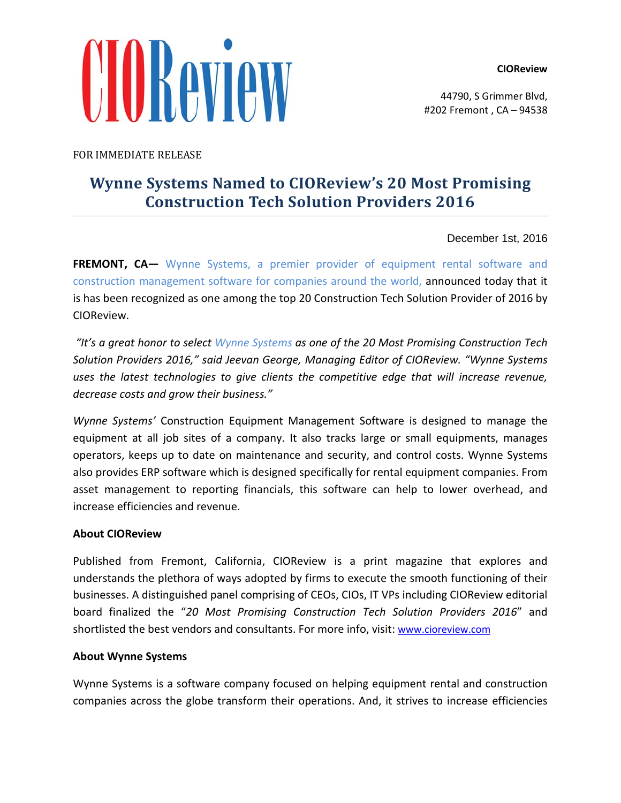## **CIOReview**

UIBAVIEW

44790, S Grimmer Blvd, #202 Fremont , CA – 94538

FOR IMMEDIATE RELEASE

## **Wynne Systems Named to CIOReview's 20 Most Promising Construction Tech Solution Providers 2016**

December 1st, 2016

**FREMONT, CA—** Wynne Systems, a premier provider of equipment rental software and construction management software for companies around the world, announced today that it is has been recognized as one among the top 20 Construction Tech Solution Provider of 2016 by CIOReview.

*"It's a great honor to select Wynne Systems as one of the 20 Most Promising Construction Tech Solution Providers 2016," said Jeevan George, Managing Editor of CIOReview. "Wynne Systems uses the latest technologies to give clients the competitive edge that will increase revenue, decrease costs and grow their business."*

*Wynne Systems'* Construction Equipment Management Software is designed to manage the equipment at all job sites of a company. It also tracks large or small equipments, manages operators, keeps up to date on maintenance and security, and control costs. Wynne Systems also provides ERP software which is designed specifically for rental equipment companies. From asset management to reporting financials, this software can help to lower overhead, and increase efficiencies and revenue.

## **About CIOReview**

Published from Fremont, California, CIOReview is a print magazine that explores and understands the plethora of ways adopted by firms to execute the smooth functioning of their businesses. A distinguished panel comprising of CEOs, CIOs, IT VPs including CIOReview editorial board finalized the "*20 Most Promising Construction Tech Solution Providers 2016*" and shortlisted the best vendors and consultants. For more info, visit: [www.cioreview.com](http://www.cioreview.com/)

## **About Wynne Systems**

Wynne Systems is a software company focused on helping equipment rental and construction companies across the globe transform their operations. And, it strives to increase efficiencies